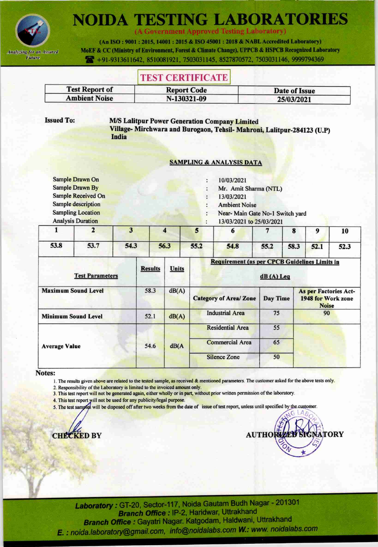

(A Government Approved Testing Laboratory)

(An ISO: 9001: 2015, 14001: 2015 & ISO 45001: 2018 & NABL Accredited Laboratory) MoEF & CC (Ministry of Environment, Forest & Climate Change), UPPCB & HSPCB Recognized Laboratory +91-9313611642, 8510081921, 7503031145, 8527870572, 7503031146, 9999794369

# **TEST CERTIFICATE**

| <b>Test Report of</b> | <b>Report Code</b> | Date of Issue |
|-----------------------|--------------------|---------------|
| <b>Ambient Noise</b>  | N-130321-09        | 25/03/2021    |

**Issued To:** 

### **M/S Lalitpur Power Generation Company Limited**

Village-Mirchwara and Burogaon, Tehsil-Mahroni, Lalitpur-284123 (U.P) India

#### **SAMPLING & ANALYSIS DATA**

|      | Sample Drawn On                                      |      |      |      | 10/03/2021                                                  |      |      |      |      |  |
|------|------------------------------------------------------|------|------|------|-------------------------------------------------------------|------|------|------|------|--|
|      | <b>Sample Drawn By</b>                               |      |      |      | Mr. Amit Sharma (NTL)                                       |      |      |      |      |  |
|      | <b>Sample Received On</b>                            |      |      |      | 13/03/2021                                                  |      |      |      |      |  |
|      | Sample description                                   |      |      |      | <b>Ambient Noise</b>                                        |      |      |      |      |  |
|      | <b>Sampling Location</b><br><b>Analysis Duration</b> |      |      |      | Near-Main Gate No-1 Switch yard<br>13/03/2021 to 25/03/2021 |      |      |      |      |  |
|      |                                                      |      |      | 5    | 6                                                           |      | ō    | 9    | 10   |  |
| 53.8 | 53.7                                                 | 54.3 | 56.3 | 55.2 | 54.8                                                        | 55.2 | 58.3 | 52.1 | 52.3 |  |

| <b>Test Parameters</b>     | <b>Results</b> | Units | <b>Requirement (as per CPCB Guidelines Limits in</b> | $dB(A)$ Leq     |                                                             |
|----------------------------|----------------|-------|------------------------------------------------------|-----------------|-------------------------------------------------------------|
| <b>Maximum Sound Level</b> | 58.3           | dB(A) | <b>Category of Area/ Zone</b>                        | <b>Day Time</b> | As per Factories Act-<br>1948 for Work zone<br><b>Noise</b> |
| <b>Minimum Sound Level</b> | 52.1           | dB(A) | <b>Industrial Area</b>                               | 75              | 90                                                          |
|                            |                |       | <b>Residential Area</b>                              | 55              |                                                             |
| <b>Average Value</b>       | 54.6           | dB(A) | <b>Commercial Area</b>                               | 65              |                                                             |
|                            |                |       | <b>Silence Zone</b>                                  | 50              |                                                             |

### Notes:

1. The results given above are related to the tested sample, as received & mentioned parameters. The customer asked for the above tests only.

2. Responsibility of the Laboratory is limited to the invoiced amount only.

3. This test report will not be generated again, either wholly or in part, without prior written permission of the laboratory.

4. This test report will not be used for any publicity/legal purpose.

5. The test samples will be disposed off after two weeks from the date of issue of test report, unless until specified by the customer.

**CHECKED BY** 

**AUTHOR TORY**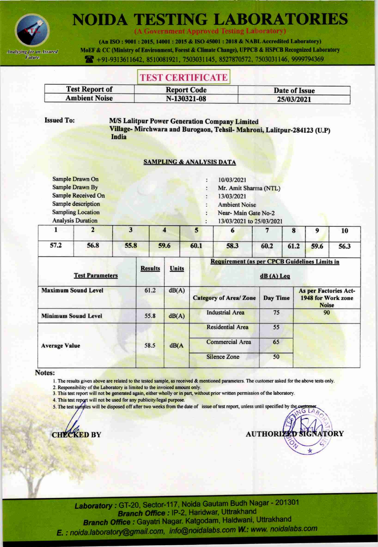

**A Government Approved Testing Laboratory)** 

(An ISO: 9001: 2015, 14001: 2015 & ISO 45001: 2018 & NABL Accredited Laboratory) MoEF & CC (Ministry of Environment, Forest & Climate Change), UPPCB & HSPCB Recognized Laboratory 491-9313611642, 8510081921, 7503031145, 8527870572, 7503031146, 9999794369

## **TEST CERTIFICATE**

| <b>Test Report of</b> | <b>Report Code</b> | Date of Issue |
|-----------------------|--------------------|---------------|
| <b>Ambient Noise</b>  | N-130321-08        | 25/03/2021    |

**Issued To:** 

### **M/S Lalitpur Power Generation Company Limited**

Village- Mirchwara and Burogaon, Tehsil- Mahroni, Lalitpur-284123 (U.P) India

### **SAMPLING & ANALYSIS DATA**

|                           | 4 | 5 | 6                        |  | 9 | 10 |
|---------------------------|---|---|--------------------------|--|---|----|
| <b>Analysis Duration</b>  |   |   | 13/03/2021 to 25/03/2021 |  |   |    |
| <b>Sampling Location</b>  |   |   | Near-Main Gate No-2      |  |   |    |
| Sample description        |   |   | <b>Ambient Noise</b>     |  |   |    |
| <b>Sample Received On</b> |   |   | 13/03/2021               |  |   |    |
| <b>Sample Drawn By</b>    |   |   | Mr. Amit Sharma (NTL)    |  |   |    |
| Sample Drawn On           |   |   | 10/03/2021               |  |   |    |

|      |                                              |  |  |  | 10 |  |
|------|----------------------------------------------|--|--|--|----|--|
| 57.2 | 56.8 55.8 59.6 60.1 58.3 60.2 61.2 59.6 56.3 |  |  |  |    |  |

| <b>Test Parameters</b>     | <b>Results</b> | <b>Units</b> | <b>Requirement (as per CPCB Guidelines Limits in</b> | $dB(A)$ Leq |                                                             |
|----------------------------|----------------|--------------|------------------------------------------------------|-------------|-------------------------------------------------------------|
| <b>Maximum Sound Level</b> | 61.2           | dB(A)        | <b>Category of Area/ Zone</b>                        | Day Time    | As per Factories Act-<br>1948 for Work zone<br><b>Noise</b> |
| <b>Minimum Sound Level</b> | 55.8           | dB(A)        | <b>Industrial Area</b>                               | 75          | 90                                                          |
|                            |                |              | <b>Residential Area</b>                              | 55          |                                                             |
| <b>Average Value</b>       | 58.5           | dB(A)        | <b>Commercial Area</b>                               | 65          |                                                             |
|                            |                |              | <b>Silence Zone</b>                                  | 50          |                                                             |

#### Notes:

1. The results given above are related to the tested sample, as received & mentioned parameters. The customer asked for the above tests only.

2. Responsibility of the Laboratory is limited to the invoiced amount only.

3. This test report will not be generated again, either wholly or in part, without prior written permission of the laboratory.

- 4. This test report will not be used for any publicity/legal purpose.
- 5. The test samples will be disposed off after two weeks from the date of issue of test report, unless until specified by the cu



**STI** 4 **AUTHORIZ TORY**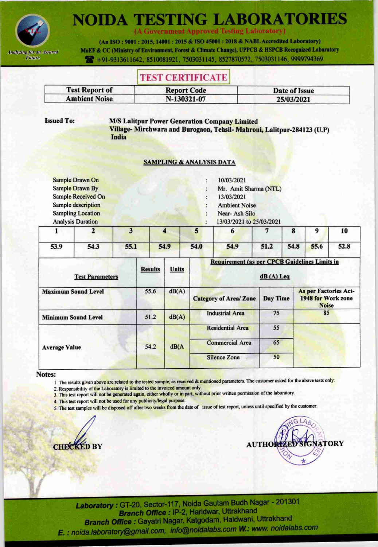

(A Government Approved Testing Laboratory)

(An ISO: 9001: 2015, 14001: 2015 & ISO 45001: 2018 & NABL Accredited Laboratory) MoEF & CC (Ministry of Environment, Forest & Climate Change), UPPCB & HSPCB Recognized Laboratory 491-9313611642, 8510081921, 7503031145, 8527870572, 7503031146, 9999794369

# **TEST CERTIFICATE**

| <b>Test Report of</b> | <b>Report Code</b> | Date of Issue |
|-----------------------|--------------------|---------------|
| <b>Ambient Noise</b>  | N-130321-07        | 25/03/2021    |

**Issued To:** 

### **M/S Lalitpur Power Generation Company Limited**

Village-Mirchwara and Burogaon, Tehsil-Mahroni, Lalitpur-284123 (U.P) India

### **SAMPLING & ANALYSIS DATA**

|                          |  |   | $\mathbf{a}$             |  |   |  |
|--------------------------|--|---|--------------------------|--|---|--|
|                          |  | э |                          |  | 9 |  |
| <b>Analysis Duration</b> |  |   | 13/03/2021 to 25/03/2021 |  |   |  |
| <b>Sampling Location</b> |  |   | Near-Ash Silo            |  |   |  |
| Sample description       |  |   | <b>Ambient Noise</b>     |  |   |  |
| Sample Received On       |  |   | 13/03/2021               |  |   |  |
| <b>Sample Drawn By</b>   |  |   | Mr. Amit Sharma (NTL)    |  |   |  |
| Sample Drawn On          |  |   | 10/03/2021               |  |   |  |

|                                                   |  |  |  | 10 |  |
|---------------------------------------------------|--|--|--|----|--|
| 53.9 54.3 55.1 54.9 54.0 54.9 51.2 54.8 55.6 52.8 |  |  |  |    |  |

| <b>Test Parameters</b>     | <b>Results</b> | Units | Requirement (as per CPCB Guidelines Limits in | $dB(A)$ Leq |                                                                    |
|----------------------------|----------------|-------|-----------------------------------------------|-------------|--------------------------------------------------------------------|
| <b>Maximum Sound Level</b> | 55.6           | dB(A) | <b>Category of Area/ Zone</b>                 | Day Time    | <b>As per Factories Act-</b><br>1948 for Work zone<br><b>Noise</b> |
| <b>Minimum Sound Level</b> | 51.2           | dB(A) | <b>Industrial Area</b>                        | 75          | 85                                                                 |
|                            |                |       | <b>Residential Area</b>                       | 55          |                                                                    |
| <b>Average Value</b>       | 54.2           | dB(A) | <b>Commercial Area</b>                        | 65          |                                                                    |
|                            |                |       | <b>Silence Zone</b>                           | 50          |                                                                    |

#### Notes:

1. The results given above are related to the tested sample, as received & mentioned parameters. The customer asked for the above tests only.

2. Responsibility of the Laboratory is limited to the invoiced amount only.

3. This test report will not be generated again, either wholly or in part, without prior written permission of the laboratory.

4. This test report will not be used for any publicity/legal purpose.

5. The test samples will be disposed off after two weeks from the date of issue of test report, unless until specified by the customer.



**TORY AUTHOR**